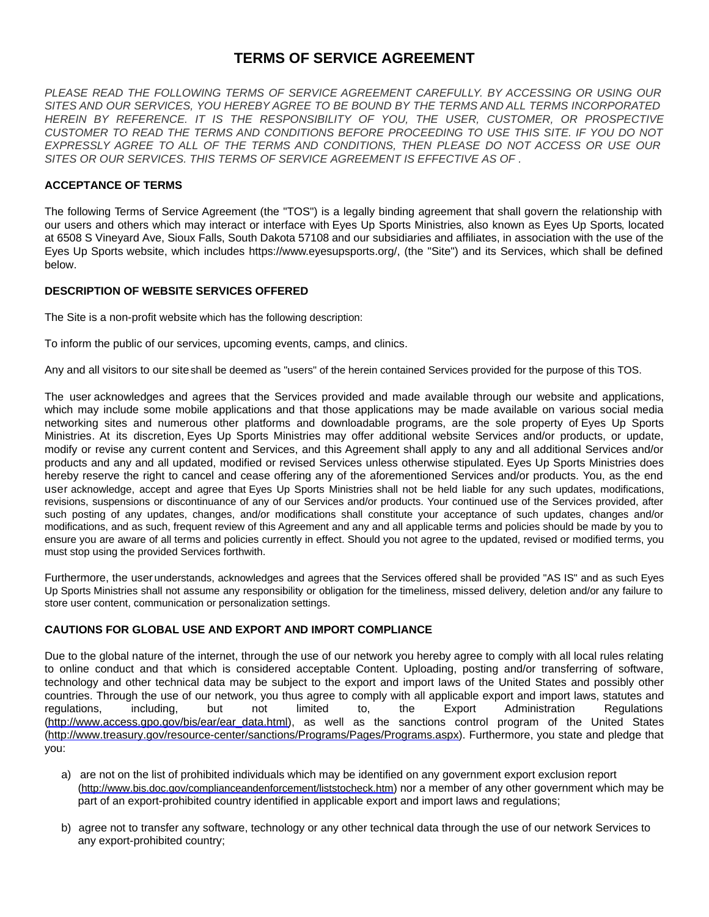# **TERMS OF SERVICE AGREEMENT**

*PLEASE READ THE FOLLOWING TERMS OF SERVICE AGREEMENT CAREFULLY. BY ACCESSING OR USING OUR SITES AND OUR SERVICES, YOU HEREBY AGREE TO BE BOUND BY THE TERMS AND ALL TERMS INCORPORATED HEREIN BY REFERENCE. IT IS THE RESPONSIBILITY OF YOU, THE USER, CUSTOMER, OR PROSPECTIVE CUSTOMER TO READ THE TERMS AND CONDITIONS BEFORE PROCEEDING TO USE THIS SITE. IF YOU DO NOT EXPRESSLY AGREE TO ALL OF THE TERMS AND CONDITIONS, THEN PLEASE DO NOT ACCESS OR USE OUR SITES OR OUR SERVICES. THIS TERMS OF SERVICE AGREEMENT IS EFFECTIVE AS OF .*

## **ACCEPTANCE OF TERMS**

The following Terms of Service Agreement (the "TOS") is a legally binding agreement that shall govern the relationship with our users and others which may interact or interface with Eyes Up Sports Ministries, also known as Eyes Up Sports, located at 6508 S Vineyard Ave, Sioux Falls, South Dakota 57108 and our subsidiaries and affiliates, in association with the use of the Eyes Up Sports website, which includes https://www.eyesupsports.org/, (the "Site") and its Services, which shall be defined below.

## **DESCRIPTION OF WEBSITE SERVICES OFFERED**

The Site is a non-profit website which has the following description:

To inform the public of our services, upcoming events, camps, and clinics.

Any and all visitors to our site shall be deemed as "users" of the herein contained Services provided for the purpose of this TOS.

The user acknowledges and agrees that the Services provided and made available through our website and applications, which may include some mobile applications and that those applications may be made available on various social media networking sites and numerous other platforms and downloadable programs, are the sole property of Eyes Up Sports Ministries. At its discretion, Eyes Up Sports Ministries may offer additional website Services and/or products, or update, modify or revise any current content and Services, and this Agreement shall apply to any and all additional Services and/or products and any and all updated, modified or revised Services unless otherwise stipulated. Eyes Up Sports Ministries does hereby reserve the right to cancel and cease offering any of the aforementioned Services and/or products. You, as the end user acknowledge, accept and agree that Eyes Up Sports Ministries shall not be held liable for any such updates, modifications, revisions, suspensions or discontinuance of any of our Services and/or products. Your continued use of the Services provided, after such posting of any updates, changes, and/or modifications shall constitute your acceptance of such updates, changes and/or modifications, and as such, frequent review of this Agreement and any and all applicable terms and policies should be made by you to ensure you are aware of all terms and policies currently in effect. Should you not agree to the updated, revised or modified terms, you must stop using the provided Services forthwith.

Furthermore, the user understands, acknowledges and agrees that the Services offered shall be provided "AS IS" and as such Eyes Up Sports Ministries shall not assume any responsibility or obligation for the timeliness, missed delivery, deletion and/or any failure to store user content, communication or personalization settings.

# **CAUTIONS FOR GLOBAL USE AND EXPORT AND IMPORT COMPLIANCE**

Due to the global nature of the internet, through the use of our network you hereby agree to comply with all local rules relating to online conduct and that which is considered acceptable Content. Uploading, posting and/or transferring of software, technology and other technical data may be subject to the export and import laws of the United States and possibly other countries. Through the use of our network, you thus agree to comply with all applicable export and import laws, statutes and regulations, including, but not limited to, the Export Administration Regulations [\(http://www.access.gpo.gov/bis/ear/ear\\_data.html](http://www.access.gpo.gov/bis/ear/ear_data.html)), as well as the sanctions control program of the United States [\(http://www.treasury.gov/resource-center/sanctions/Programs/Pages/Programs.aspx](http://www.treasury.gov/resource-center/sanctions/Programs/Pages/Programs.aspx)). Furthermore, you state and pledge that you:

- a) are not on the list of prohibited individuals which may be identified on any government export exclusion report (<http://www.bis.doc.gov/complianceandenforcement/liststocheck.htm>) nor a member of any other government which may be part of an export-prohibited country identified in applicable export and import laws and regulations;
- b) agree not to transfer any software, technology or any other technical data through the use of our network Services to any export-prohibited country;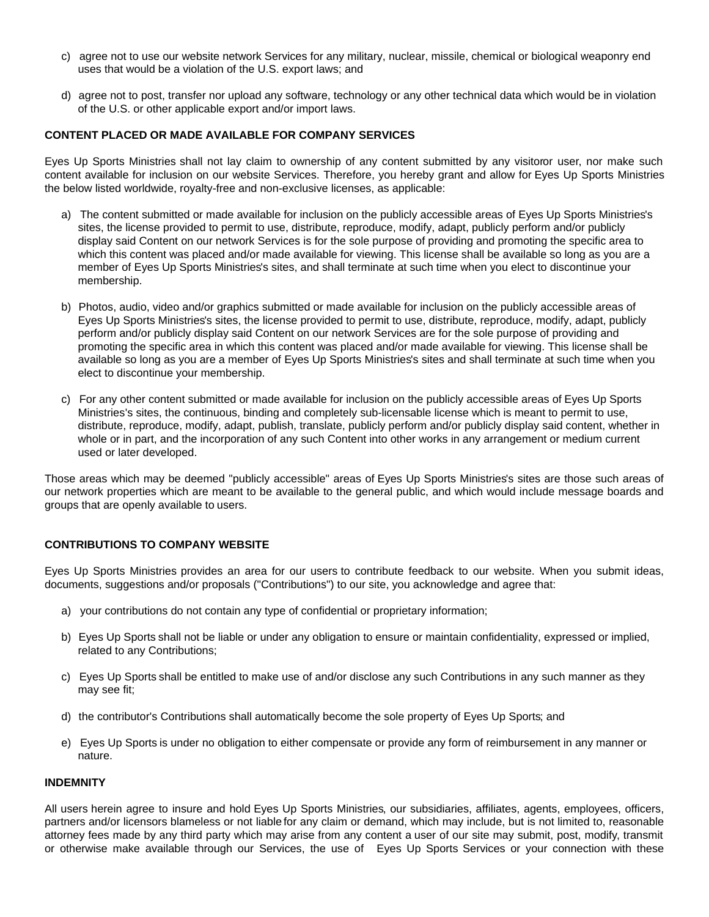- c) agree not to use our website network Services for any military, nuclear, missile, chemical or biological weaponry end uses that would be a violation of the U.S. export laws; and
- d) agree not to post, transfer nor upload any software, technology or any other technical data which would be in violation of the U.S. or other applicable export and/or import laws.

## **CONTENT PLACED OR MADE AVAILABLE FOR COMPANY SERVICES**

Eyes Up Sports Ministries shall not lay claim to ownership of any content submitted by any visitoror user, nor make such content available for inclusion on our website Services. Therefore, you hereby grant and allow for Eyes Up Sports Ministries the below listed worldwide, royalty-free and non-exclusive licenses, as applicable:

- a) The content submitted or made available for inclusion on the publicly accessible areas of Eyes Up Sports Ministries's sites, the license provided to permit to use, distribute, reproduce, modify, adapt, publicly perform and/or publicly display said Content on our network Services is for the sole purpose of providing and promoting the specific area to which this content was placed and/or made available for viewing. This license shall be available so long as you are a member of Eyes Up Sports Ministries's sites, and shall terminate at such time when you elect to discontinue your membership.
- b) Photos, audio, video and/or graphics submitted or made available for inclusion on the publicly accessible areas of Eyes Up Sports Ministries's sites, the license provided to permit to use, distribute, reproduce, modify, adapt, publicly perform and/or publicly display said Content on our network Services are for the sole purpose of providing and promoting the specific area in which this content was placed and/or made available for viewing. This license shall be available so long as you are a member of Eyes Up Sports Ministries's sites and shall terminate at such time when you elect to discontinue your membership.
- c) For any other content submitted or made available for inclusion on the publicly accessible areas of Eyes Up Sports Ministries's sites, the continuous, binding and completely sub-licensable license which is meant to permit to use, distribute, reproduce, modify, adapt, publish, translate, publicly perform and/or publicly display said content, whether in whole or in part, and the incorporation of any such Content into other works in any arrangement or medium current used or later developed.

Those areas which may be deemed "publicly accessible" areas of Eyes Up Sports Ministries's sites are those such areas of our network properties which are meant to be available to the general public, and which would include message boards and groups that are openly available to users.

# **CONTRIBUTIONS TO COMPANY WEBSITE**

Eyes Up Sports Ministries provides an area for our users to contribute feedback to our website. When you submit ideas, documents, suggestions and/or proposals ("Contributions") to our site, you acknowledge and agree that:

- a) your contributions do not contain any type of confidential or proprietary information;
- b) Eyes Up Sports shall not be liable or under any obligation to ensure or maintain confidentiality, expressed or implied, related to any Contributions;
- c) Eyes Up Sports shall be entitled to make use of and/or disclose any such Contributions in any such manner as they may see fit;
- d) the contributor's Contributions shall automatically become the sole property of Eyes Up Sports; and
- e) Eyes Up Sports is under no obligation to either compensate or provide any form of reimbursement in any manner or nature.

#### **INDEMNITY**

All users herein agree to insure and hold Eyes Up Sports Ministries, our subsidiaries, affiliates, agents, employees, officers, partners and/or licensors blameless or not liable for any claim or demand, which may include, but is not limited to, reasonable attorney fees made by any third party which may arise from any content a user of our site may submit, post, modify, transmit or otherwise make available through our Services, the use of Eyes Up Sports Services or your connection with these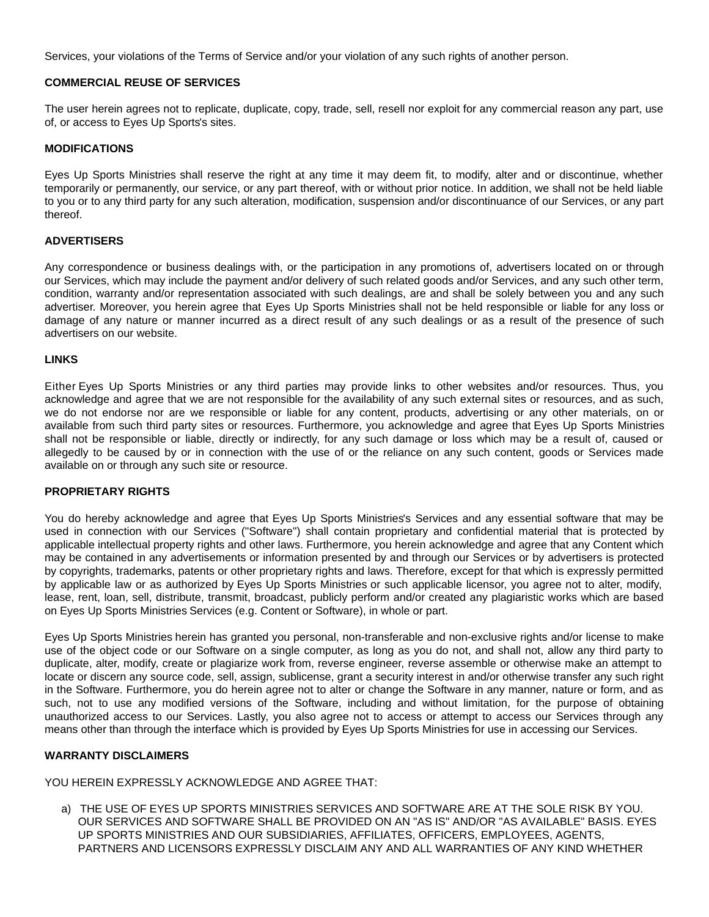Services, your violations of the Terms of Service and/or your violation of any such rights of another person.

## **COMMERCIAL REUSE OF SERVICES**

The user herein agrees not to replicate, duplicate, copy, trade, sell, resell nor exploit for any commercial reason any part, use of, or access to Eyes Up Sports's sites.

## **MODIFICATIONS**

Eyes Up Sports Ministries shall reserve the right at any time it may deem fit, to modify, alter and or discontinue, whether temporarily or permanently, our service, or any part thereof, with or without prior notice. In addition, we shall not be held liable to you or to any third party for any such alteration, modification, suspension and/or discontinuance of our Services, or any part thereof.

# **ADVERTISERS**

Any correspondence or business dealings with, or the participation in any promotions of, advertisers located on or through our Services, which may include the payment and/or delivery of such related goods and/or Services, and any such other term, condition, warranty and/or representation associated with such dealings, are and shall be solely between you and any such advertiser. Moreover, you herein agree that Eyes Up Sports Ministries shall not be held responsible or liable for any loss or damage of any nature or manner incurred as a direct result of any such dealings or as a result of the presence of such advertisers on our website.

## **LINKS**

Either Eyes Up Sports Ministries or any third parties may provide links to other websites and/or resources. Thus, you acknowledge and agree that we are not responsible for the availability of any such external sites or resources, and as such, we do not endorse nor are we responsible or liable for any content, products, advertising or any other materials, on or available from such third party sites or resources. Furthermore, you acknowledge and agree that Eyes Up Sports Ministries shall not be responsible or liable, directly or indirectly, for any such damage or loss which may be a result of, caused or allegedly to be caused by or in connection with the use of or the reliance on any such content, goods or Services made available on or through any such site or resource.

#### **PROPRIETARY RIGHTS**

You do hereby acknowledge and agree that Eyes Up Sports Ministries's Services and any essential software that may be used in connection with our Services ("Software") shall contain proprietary and confidential material that is protected by applicable intellectual property rights and other laws. Furthermore, you herein acknowledge and agree that any Content which may be contained in any advertisements or information presented by and through our Services or by advertisers is protected by copyrights, trademarks, patents or other proprietary rights and laws. Therefore, except for that which is expressly permitted by applicable law or as authorized by Eyes Up Sports Ministries or such applicable licensor, you agree not to alter, modify, lease, rent, loan, sell, distribute, transmit, broadcast, publicly perform and/or created any plagiaristic works which are based on Eyes Up Sports Ministries Services (e.g. Content or Software), in whole or part.

Eyes Up Sports Ministries herein has granted you personal, non-transferable and non-exclusive rights and/or license to make use of the object code or our Software on a single computer, as long as you do not, and shall not, allow any third party to duplicate, alter, modify, create or plagiarize work from, reverse engineer, reverse assemble or otherwise make an attempt to locate or discern any source code, sell, assign, sublicense, grant a security interest in and/or otherwise transfer any such right in the Software. Furthermore, you do herein agree not to alter or change the Software in any manner, nature or form, and as such, not to use any modified versions of the Software, including and without limitation, for the purpose of obtaining unauthorized access to our Services. Lastly, you also agree not to access or attempt to access our Services through any means other than through the interface which is provided by Eyes Up Sports Ministries for use in accessing our Services.

# **WARRANTY DISCLAIMERS**

YOU HEREIN EXPRESSLY ACKNOWLEDGE AND AGREE THAT:

a) THE USE OF EYES UP SPORTS MINISTRIES SERVICES AND SOFTWARE ARE AT THE SOLE RISK BY YOU. OUR SERVICES AND SOFTWARE SHALL BE PROVIDED ON AN "AS IS" AND/OR "AS AVAILABLE" BASIS. EYES UP SPORTS MINISTRIES AND OUR SUBSIDIARIES, AFFILIATES, OFFICERS, EMPLOYEES, AGENTS, PARTNERS AND LICENSORS EXPRESSLY DISCLAIM ANY AND ALL WARRANTIES OF ANY KIND WHETHER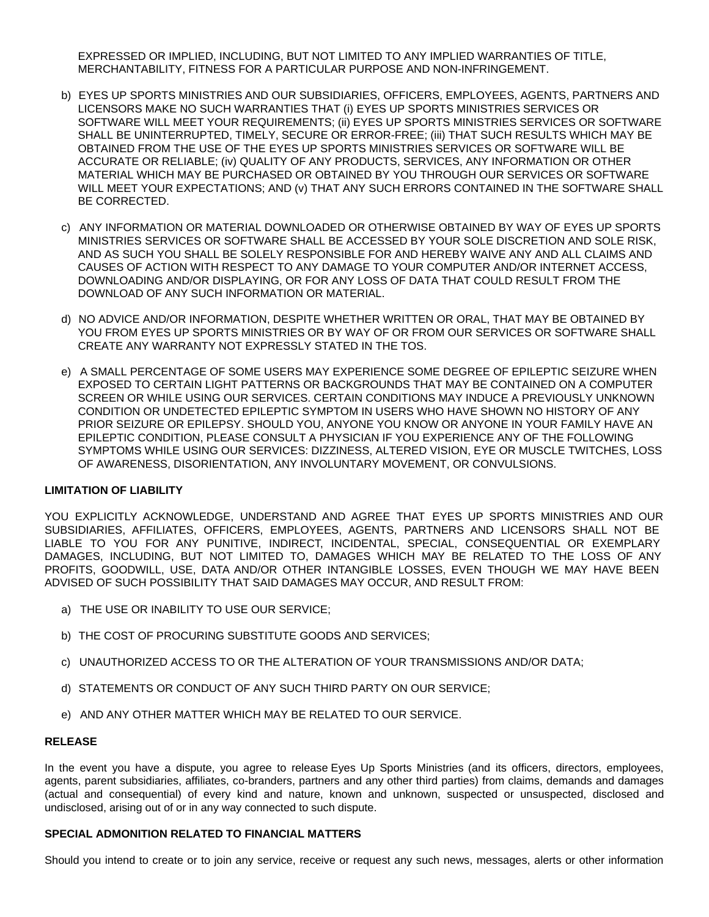EXPRESSED OR IMPLIED, INCLUDING, BUT NOT LIMITED TO ANY IMPLIED WARRANTIES OF TITLE, MERCHANTABILITY, FITNESS FOR A PARTICULAR PURPOSE AND NON-INFRINGEMENT.

- b) EYES UP SPORTS MINISTRIES AND OUR SUBSIDIARIES, OFFICERS, EMPLOYEES, AGENTS, PARTNERS AND LICENSORS MAKE NO SUCH WARRANTIES THAT (i) EYES UP SPORTS MINISTRIES SERVICES OR SOFTWARE WILL MEET YOUR REQUIREMENTS; (ii) EYES UP SPORTS MINISTRIES SERVICES OR SOFTWARE SHALL BE UNINTERRUPTED, TIMELY, SECURE OR ERROR-FREE; (iii) THAT SUCH RESULTS WHICH MAY BE OBTAINED FROM THE USE OF THE EYES UP SPORTS MINISTRIES SERVICES OR SOFTWARE WILL BE ACCURATE OR RELIABLE; (iv) QUALITY OF ANY PRODUCTS, SERVICES, ANY INFORMATION OR OTHER MATERIAL WHICH MAY BE PURCHASED OR OBTAINED BY YOU THROUGH OUR SERVICES OR SOFTWARE WILL MEET YOUR EXPECTATIONS; AND (v) THAT ANY SUCH ERRORS CONTAINED IN THE SOFTWARE SHALL BE CORRECTED.
- c) ANY INFORMATION OR MATERIAL DOWNLOADED OR OTHERWISE OBTAINED BY WAY OF EYES UP SPORTS MINISTRIES SERVICES OR SOFTWARE SHALL BE ACCESSED BY YOUR SOLE DISCRETION AND SOLE RISK, AND AS SUCH YOU SHALL BE SOLELY RESPONSIBLE FOR AND HEREBY WAIVE ANY AND ALL CLAIMS AND CAUSES OF ACTION WITH RESPECT TO ANY DAMAGE TO YOUR COMPUTER AND/OR INTERNET ACCESS, DOWNLOADING AND/OR DISPLAYING, OR FOR ANY LOSS OF DATA THAT COULD RESULT FROM THE DOWNLOAD OF ANY SUCH INFORMATION OR MATERIAL.
- d) NO ADVICE AND/OR INFORMATION, DESPITE WHETHER WRITTEN OR ORAL, THAT MAY BE OBTAINED BY YOU FROM EYES UP SPORTS MINISTRIES OR BY WAY OF OR FROM OUR SERVICES OR SOFTWARE SHALL CREATE ANY WARRANTY NOT EXPRESSLY STATED IN THE TOS.
- e) A SMALL PERCENTAGE OF SOME USERS MAY EXPERIENCE SOME DEGREE OF EPILEPTIC SEIZURE WHEN EXPOSED TO CERTAIN LIGHT PATTERNS OR BACKGROUNDS THAT MAY BE CONTAINED ON A COMPUTER SCREEN OR WHILE USING OUR SERVICES. CERTAIN CONDITIONS MAY INDUCE A PREVIOUSLY UNKNOWN CONDITION OR UNDETECTED EPILEPTIC SYMPTOM IN USERS WHO HAVE SHOWN NO HISTORY OF ANY PRIOR SEIZURE OR EPILEPSY. SHOULD YOU, ANYONE YOU KNOW OR ANYONE IN YOUR FAMILY HAVE AN EPILEPTIC CONDITION, PLEASE CONSULT A PHYSICIAN IF YOU EXPERIENCE ANY OF THE FOLLOWING SYMPTOMS WHILE USING OUR SERVICES: DIZZINESS, ALTERED VISION, EYE OR MUSCLE TWITCHES, LOSS OF AWARENESS, DISORIENTATION, ANY INVOLUNTARY MOVEMENT, OR CONVULSIONS.

#### **LIMITATION OF LIABILITY**

YOU EXPLICITLY ACKNOWLEDGE, UNDERSTAND AND AGREE THAT EYES UP SPORTS MINISTRIES AND OUR SUBSIDIARIES, AFFILIATES, OFFICERS, EMPLOYEES, AGENTS, PARTNERS AND LICENSORS SHALL NOT BE LIABLE TO YOU FOR ANY PUNITIVE, INDIRECT, INCIDENTAL, SPECIAL, CONSEQUENTIAL OR EXEMPLARY DAMAGES, INCLUDING, BUT NOT LIMITED TO, DAMAGES WHICH MAY BE RELATED TO THE LOSS OF ANY PROFITS, GOODWILL, USE, DATA AND/OR OTHER INTANGIBLE LOSSES, EVEN THOUGH WE MAY HAVE BEEN ADVISED OF SUCH POSSIBILITY THAT SAID DAMAGES MAY OCCUR, AND RESULT FROM:

- a) THE USE OR INABILITY TO USE OUR SERVICE;
- b) THE COST OF PROCURING SUBSTITUTE GOODS AND SERVICES;
- c) UNAUTHORIZED ACCESS TO OR THE ALTERATION OF YOUR TRANSMISSIONS AND/OR DATA;
- d) STATEMENTS OR CONDUCT OF ANY SUCH THIRD PARTY ON OUR SERVICE;
- e) AND ANY OTHER MATTER WHICH MAY BE RELATED TO OUR SERVICE.

#### **RELEASE**

In the event you have a dispute, you agree to release Eyes Up Sports Ministries (and its officers, directors, employees, agents, parent subsidiaries, affiliates, co-branders, partners and any other third parties) from claims, demands and damages (actual and consequential) of every kind and nature, known and unknown, suspected or unsuspected, disclosed and undisclosed, arising out of or in any way connected to such dispute.

## **SPECIAL ADMONITION RELATED TO FINANCIAL MATTERS**

Should you intend to create or to join any service, receive or request any such news, messages, alerts or other information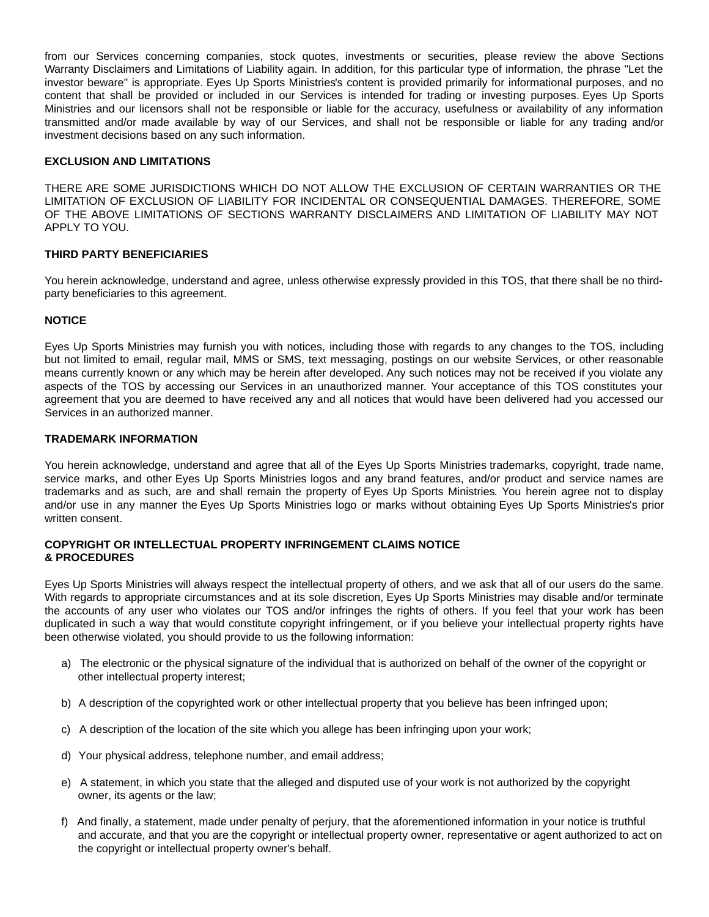from our Services concerning companies, stock quotes, investments or securities, please review the above Sections Warranty Disclaimers and Limitations of Liability again. In addition, for this particular type of information, the phrase "Let the investor beware" is appropriate. Eyes Up Sports Ministries's content is provided primarily for informational purposes, and no content that shall be provided or included in our Services is intended for trading or investing purposes. Eyes Up Sports Ministries and our licensors shall not be responsible or liable for the accuracy, usefulness or availability of any information transmitted and/or made available by way of our Services, and shall not be responsible or liable for any trading and/or investment decisions based on any such information.

## **EXCLUSION AND LIMITATIONS**

THERE ARE SOME JURISDICTIONS WHICH DO NOT ALLOW THE EXCLUSION OF CERTAIN WARRANTIES OR THE LIMITATION OF EXCLUSION OF LIABILITY FOR INCIDENTAL OR CONSEQUENTIAL DAMAGES. THEREFORE, SOME OF THE ABOVE LIMITATIONS OF SECTIONS WARRANTY DISCLAIMERS AND LIMITATION OF LIABILITY MAY NOT APPLY TO YOU.

## **THIRD PARTY BENEFICIARIES**

You herein acknowledge, understand and agree, unless otherwise expressly provided in this TOS, that there shall be no thirdparty beneficiaries to this agreement.

## **NOTICE**

Eyes Up Sports Ministries may furnish you with notices, including those with regards to any changes to the TOS, including but not limited to email, regular mail, MMS or SMS, text messaging, postings on our website Services, or other reasonable means currently known or any which may be herein after developed. Any such notices may not be received if you violate any aspects of the TOS by accessing our Services in an unauthorized manner. Your acceptance of this TOS constitutes your agreement that you are deemed to have received any and all notices that would have been delivered had you accessed our Services in an authorized manner.

## **TRADEMARK INFORMATION**

You herein acknowledge, understand and agree that all of the Eyes Up Sports Ministries trademarks, copyright, trade name, service marks, and other Eyes Up Sports Ministries logos and any brand features, and/or product and service names are trademarks and as such, are and shall remain the property of Eyes Up Sports Ministries. You herein agree not to display and/or use in any manner the Eyes Up Sports Ministries logo or marks without obtaining Eyes Up Sports Ministries's prior written consent.

## **COPYRIGHT OR INTELLECTUAL PROPERTY INFRINGEMENT CLAIMS NOTICE & PROCEDURES**

Eyes Up Sports Ministries will always respect the intellectual property of others, and we ask that all of our users do the same. With regards to appropriate circumstances and at its sole discretion, Eyes Up Sports Ministries may disable and/or terminate the accounts of any user who violates our TOS and/or infringes the rights of others. If you feel that your work has been duplicated in such a way that would constitute copyright infringement, or if you believe your intellectual property rights have been otherwise violated, you should provide to us the following information:

- a) The electronic or the physical signature of the individual that is authorized on behalf of the owner of the copyright or other intellectual property interest;
- b) A description of the copyrighted work or other intellectual property that you believe has been infringed upon;
- c) A description of the location of the site which you allege has been infringing upon your work;
- d) Your physical address, telephone number, and email address;
- e) A statement, in which you state that the alleged and disputed use of your work is not authorized by the copyright owner, its agents or the law;
- f) And finally, a statement, made under penalty of perjury, that the aforementioned information in your notice is truthful and accurate, and that you are the copyright or intellectual property owner, representative or agent authorized to act on the copyright or intellectual property owner's behalf.